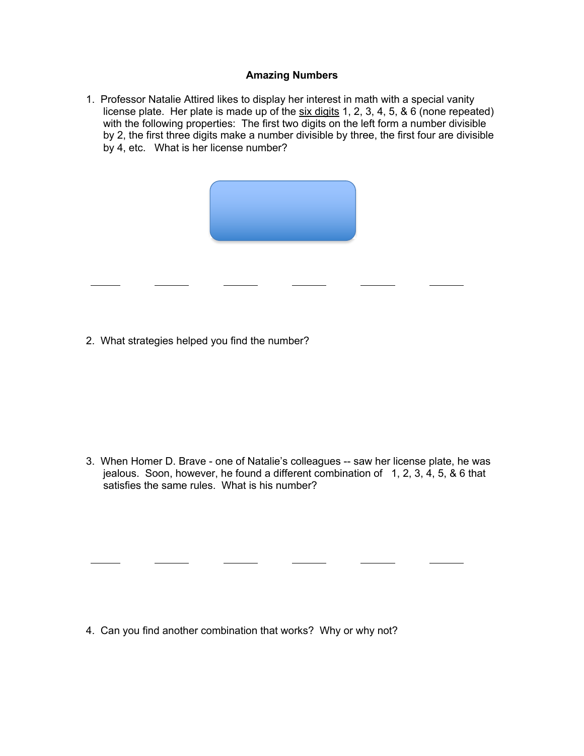## **Amazing Numbers**

1. Professor Natalie Attired likes to display her interest in math with a special vanity license plate. Her plate is made up of the six digits 1, 2, 3, 4, 5, & 6 (none repeated) with the following properties: The first two digits on the left form a number divisible by 2, the first three digits make a number divisible by three, the first four are divisible by 4, etc. What is her license number?



2. What strategies helped you find the number?

3. When Homer D. Brave - one of Natalie's colleagues -- saw her license plate, he was jealous. Soon, however, he found a different combination of 1, 2, 3, 4, 5, & 6 that satisfies the same rules. What is his number?

4. Can you find another combination that works? Why or why not?